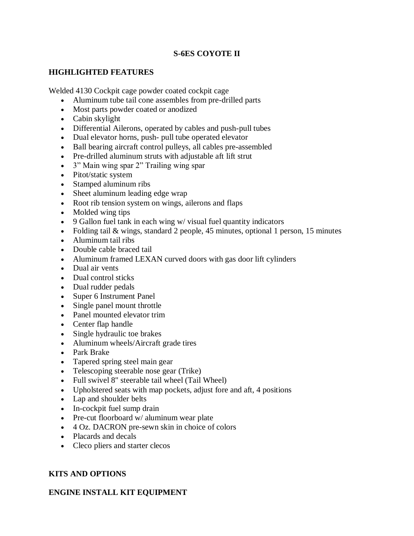# **S-6ES COYOTE II**

# **HIGHLIGHTED FEATURES**

Welded 4130 Cockpit cage powder coated cockpit cage

- Aluminum tube tail cone assembles from pre-drilled parts
- Most parts powder coated or anodized
- Cabin skylight
- Differential Ailerons, operated by cables and push-pull tubes
- Dual elevator horns, push- pull tube operated elevator
- Ball bearing aircraft control pulleys, all cables pre-assembled
- Pre-drilled aluminum struts with adjustable aft lift strut
- 3" Main wing spar 2" Trailing wing spar
- Pitot/static system
- Stamped aluminum ribs
- Sheet aluminum leading edge wrap
- Root rib tension system on wings, ailerons and flaps
- Molded wing tips
- 9 Gallon fuel tank in each wing w/ visual fuel quantity indicators
- Folding tail & wings, standard 2 people, 45 minutes, optional 1 person, 15 minutes
- Aluminum tail ribs
- Double cable braced tail
- Aluminum framed LEXAN curved doors with gas door lift cylinders
- Dual air vents
- Dual control sticks
- Dual rudder pedals
- Super 6 Instrument Panel
- Single panel mount throttle
- Panel mounted elevator trim
- Center flap handle
- Single hydraulic toe brakes
- Aluminum wheels/Aircraft grade tires
- Park Brake
- Tapered spring steel main gear
- Telescoping steerable nose gear (Trike)
- Full swivel 8" steerable tail wheel (Tail Wheel)
- Upholstered seats with map pockets, adjust fore and aft, 4 positions
- Lap and shoulder belts
- In-cockpit fuel sump drain
- Pre-cut floorboard w/ aluminum wear plate
- 4 Oz. DACRON pre-sewn skin in choice of colors
- Placards and decals
- Cleco pliers and starter clecos

# **KITS AND OPTIONS**

# **ENGINE INSTALL KIT EQUIPMENT**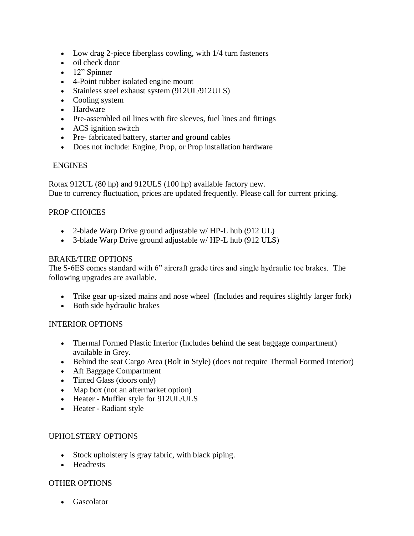- Low drag 2-piece fiberglass cowling, with  $1/4$  turn fasteners
- oil check door
- 12" Spinner
- 4-Point rubber isolated engine mount
- Stainless steel exhaust system (912UL/912ULS)
- Cooling system
- Hardware
- Pre-assembled oil lines with fire sleeves, fuel lines and fittings
- ACS ignition switch
- Pre- fabricated battery, starter and ground cables
- Does not include: Engine, Prop, or Prop installation hardware

### ENGINES

Rotax 912UL (80 hp) and 912ULS (100 hp) available factory new. Due to currency fluctuation, prices are updated frequently. Please call for current pricing.

## PROP CHOICES

- 2-blade Warp Drive ground adjustable w/ HP-L hub (912 UL)
- 3-blade Warp Drive ground adjustable w/ HP-L hub (912 ULS)

#### BRAKE/TIRE OPTIONS

The S-6ES comes standard with 6" aircraft grade tires and single hydraulic toe brakes. The following upgrades are available.

- Trike gear up-sized mains and nose wheel (Includes and requires slightly larger fork)
- Both side hydraulic brakes

### INTERIOR OPTIONS

- Thermal Formed Plastic Interior (Includes behind the seat baggage compartment) available in Grey.
- Behind the seat Cargo Area (Bolt in Style) (does not require Thermal Formed Interior)
- Aft Baggage Compartment
- Tinted Glass (doors only)
- Map box (not an aftermarket option)
- Heater Muffler style for 912UL/ULS
- Heater Radiant style

### UPHOLSTERY OPTIONS

- Stock upholstery is gray fabric, with black piping.
- Headrests

### OTHER OPTIONS

• Gascolator